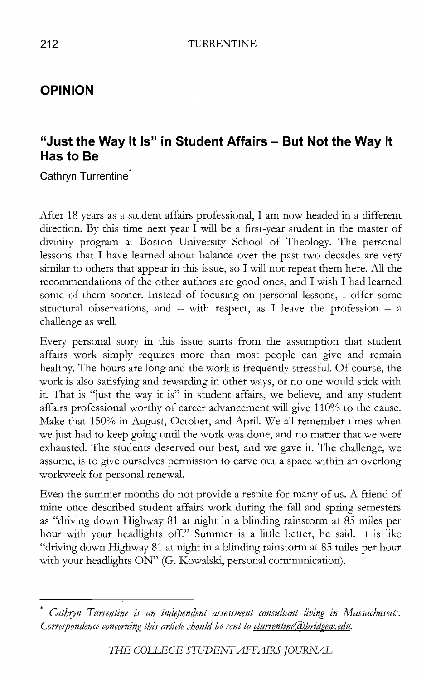## **OPINION**

# **"Just the Way It Is" in Student Affairs - But Not the Way It Has to Be**

**Cathryn** Turrentine

After 18 years as a student affairs professional, I am now headed in a different direction. By this time next year I will be a first-year student in the master of divinity program at Boston University School of Theology. The personal lessons that I have learned about balance over the past two decades are very similar to others that appear in this issue, so I will not repeat them here. All the recommendations of the other authors are good ones, and I wish I had learned some of them sooner. Instead of focusing on personal lessons, I offer some structural observations, and  $-$  with respect, as I leave the profession  $-$  a challenge as well.

Every personal story in this issue starts from the assumption that student affairs work simply requires more than most people can give and remain healthy. The hours are long and the work is frequently stressful. Of course, the work is also satisfying and rewarding in other ways, or no one would stick with it. That is "just the way it is" in student affairs, we believe, and any student affairs professional worthy of career advancement will give 110% to the cause. Make that 150% in August, October, and April. We all remember times when we just had to keep going until the work was done, and no matter that we were exhausted. The students deserved our best, and we gave it. The challenge, we assume, is to give ourselves permission to carve out a space within an overlong workweek for personal renewal.

Even the summer months do not provide a respite for many of us. A friend of mine once described student affairs work during the fall and spring semesters as "driving down Highway 81 at night in a blinding rainstorm at 85 miles per hour with your headlights off." Summer is a little better, he said. It is like "driving down Highway 81 at night in a blinding rainstorm at 85 miles per hour with your headlights ON" (G. Kowalski, personal communication).

<sup>\*</sup> *Cathryn Turrentine is an independent assessment consultant living in Massachusetts. Correspondence concerning this article should be sent to cturrentine*(a)*bridgew.edu.*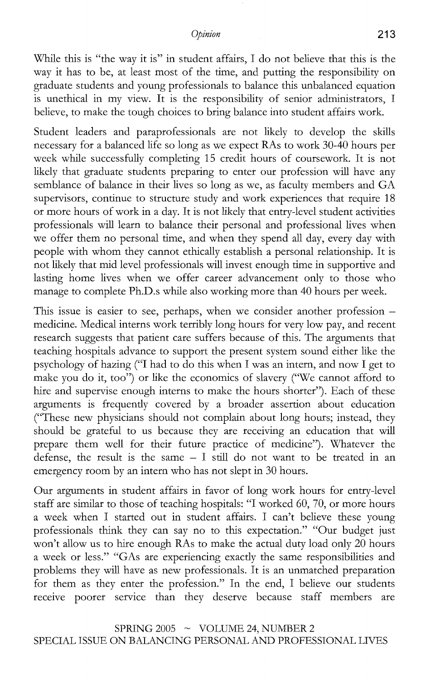#### *Opinion* **213**

While this is "the way it is" in student affairs, I do not believe that this is the way it has to be, at least most of the time, and putting the responsibility on graduate students and young professionals to balance this unbalanced equation is unethical in my view. It is the responsibility of senior administrators, I believe, to make the tough choices to bring balance into student affairs work.

Student leaders and paraprofessionals are not likely to develop the skills necessary for a balanced life so long as we expect RAs to work 30-40 hours per week while successfully completing 15 credit hours of coursework. It is not likely that graduate students preparing to enter our profession will have any semblance of balance in their lives so long as we, as faculty members and GA supervisors, continue to structure study and work experiences that require 18 or more hours of work in a day. It is not likely that entry-level student activities professionals will learn to balance their personal and professional lives when we offer them no personal time, and when they spend all day, every day with people with whom they cannot ethically establish a personal relationship. It is not likely that mid level professionals will invest enough time in supportive and lasting home lives when we offer career advancement only to those who manage to complete Ph.D.s while also working more than 40 hours per week.

This issue is easier to see, perhaps, when we consider another profession medicine. Medical interns work terribly long hours for very low pay, and recent research suggests that patient care suffers because of this. The arguments that teaching hospitals advance to support the present system sound either like the psychology of hazing ("I had to do this when I was an intern, and now I get to make you do it, too") or like the economics of slavery (''We cannot afford to hire and supervise enough interns to make the hours shorter"). Each of these arguments is frequently covered by a broader assertion about education ("These new physicians should not complain about long hours; instead, they should be grateful to us because they are receiving an education that will prepare them well for their future practice of medicine"). Whatever the defense, the result is the same  $-1$  still do not want to be treated in an emergency room by an intern who has not slept in 30 hours.

Our arguments in student affairs in favor of long work hours for entry-level staff are similar to those of teaching hospitals: "I worked 60, 70, or more hours a week when I started out in student affairs. I can't believe these young professionals think they can say no to this expectation." "Our budget just won't allow us to hire enough RAs to make the actual duty load only 20 hours a week or less." "GAs are experiencing exactly the same responsibilities and problems they will have as new professionals. It is an unmatched preparation for them as they enter the profession." In the end, I believe our students receive poorer service than they deserve because staff members are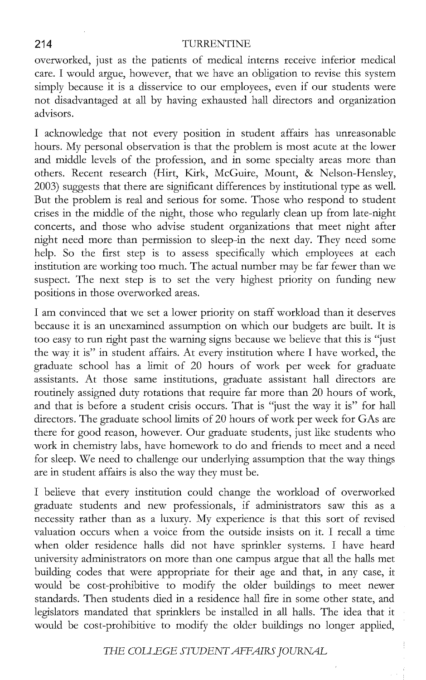### **214** TURRENTINE

overworked, just as the patients of medical interns receive inferior medical care. I would argue, however, that we have an obligation to revise this system simply because it is a disservice to our employees, even if our students were not disadvantaged at all by having exhausted hall directors and organization advisors.

I acknowledge that not every position in student affairs has unreasonable hours. My personal observation is that the problem is most acute at the lower and middle levels of the profession, and in some specialty areas more than others. Recent research (Hirt, Kirk, McGuire, Mount, & Nelson-Hensley, 2003) suggests that there are significant differences by institutional type as well. But the problem is real and serious for some. Those who respond to student crises in the middle of the night, those who regularly clean up from late-night concerts, and those who advise student organizations that meet night after night need more than permission to sleep-in the next day. They need some help. So the first step is to assess specifically which employees at each institution are working too much. The actual number may be far fewer than we suspect. The next step is to set the very highest priority on funding new positions in those overworked areas.

I am convinced that we set a lower priority on staff workload than it deserves because it is an unexamined assumption on which our budgets are built. It is too easy to run right past the warning signs because we believe that this is "just the way it is" in student affairs. At every institution where I have worked, the graduate school has a limit of 20 hours of work per week for graduate assistants. At those same institutions, graduate assistant hall directors are routinely assigned duty rotations that require far more than 20 hours of work, and that is before a student crisis occurs. That is "just the way it is" for hall directors. The graduate school limits of 20 hours of work per week for GAs are there for good reason, however. Our graduate students, just like students who work in chemistry labs, have homework to do and friends to meet and a need for sleep. We need to challenge our underlying assumption that the way things are in student affairs is also the way they must be.

I believe that every institution could change the workload of overworked graduate students and new professionals, if administrators saw this as a necessity rather than as a luxury. My experience is that this sort of revised valuation occurs when a voice from the outside insists on it. I recall a time when older residence halls did not have sprinkler systems. I have heard university administrators on more than one campus argue that all the halls met building codes that were appropriate for their age and that, in any case, it would be cost-prohibitive to modify the older buildings to meet newer standards. Then students died in a residence hall fire in some other state, and legislators mandated that sprinklers be installed in all halls. The idea that it would be cost-prohibitive to modify the older buildings no longer applied,

*THE COUEGE S1UDENTAFFAIRS JOURNAL*